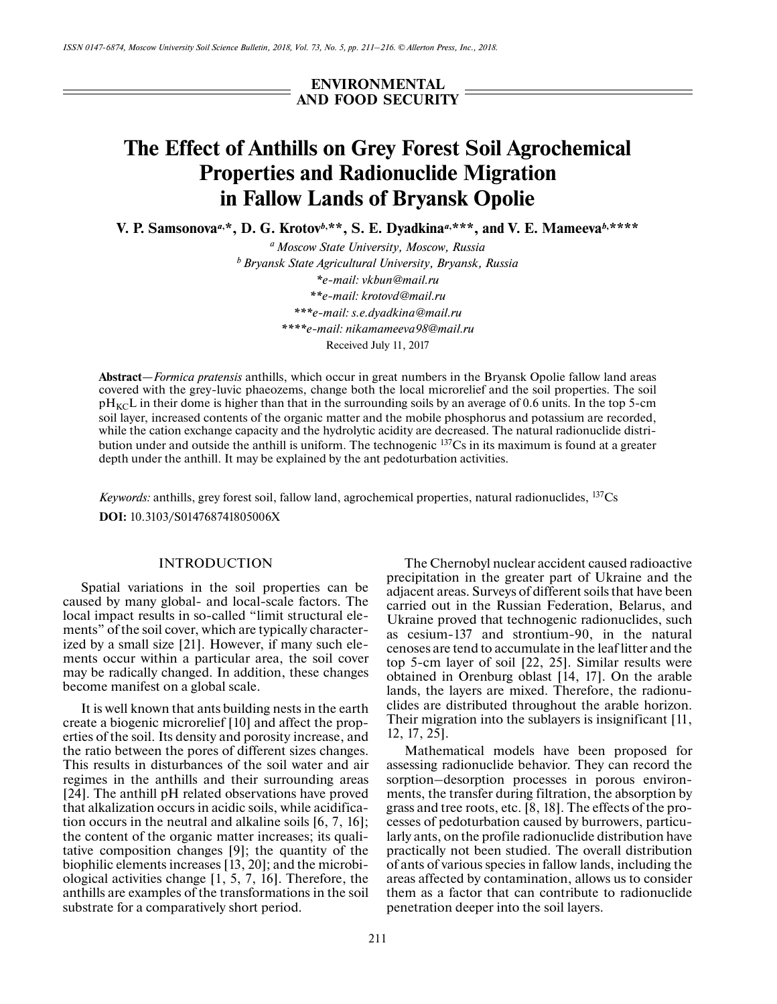**ENVIRONMENTAL AND FOOD SECURITY**

# **The Effect of Anthills on Grey Forest Soil Agrochemical Properties and Radionuclide Migration in Fallow Lands of Bryansk Opolie**

**V. P. Samsonova<sup>a,\*</sup>, D. G. Krotov<sup>b,\*\*</sup>, S. E. Dyadkina<sup>a,\*\*\*</sup>, and V. E. Mameeva<sup>b,\*\*\*\*</sup>** 

*a Moscow State University, Moscow, Russia b Bryansk State Agricultural University, Bryansk, Russia \*e-mail: vkbun@mail.ru \*\*e-mail: krotovd@mail.ru \*\*\*e-mail: s.e.dyadkina@mail.ru \*\*\*\*e-mail: nikamameeva98@mail.ru* Received July 11, 2017

**Abstract**—*Formica pratensis* anthills, which occur in great numbers in the Bryansk Opolie fallow land areas covered with the grey-luvic phaeozems, change both the local microrelief and the soil properties. The soil  $pH_{\text{KC}}$ L in their dome is higher than that in the surrounding soils by an average of 0.6 units. In the top 5-cm soil layer, increased contents of the organic matter and the mobile phosphorus and potassium are recorded, while the cation exchange capacity and the hydrolytic acidity are decreased. The natural radionuclide distribution under and outside the anthill is uniform. The technogenic  $137Cs$  in its maximum is found at a greater depth under the anthill. It may be explained by the ant pedoturbation activities.

*Keywords:* anthills, grey forest soil, fallow land, agrochemical properties, natural radionuclides. <sup>137</sup>Cs **DOI:** 10.3103/S014768741805006X

#### INTRODUCTION

Spatial variations in the soil properties can be caused by many global- and local-scale factors. The local impact results in so-called "limit structural elements" of the soil cover, which are typically characterized by a small size [21]. However, if many such elements occur within a particular area, the soil cover may be radically changed. In addition, these changes become manifest on a global scale.

It is well known that ants building nests in the earth create a biogenic microrelief [10] and affect the properties of the soil. Its density and porosity increase, and the ratio between the pores of different sizes changes. This results in disturbances of the soil water and air regimes in the anthills and their surrounding areas [24]. The anthill pH related observations have proved that alkalization occurs in acidic soils, while acidification occurs in the neutral and alkaline soils [6, 7, 16]; the content of the organic matter increases; its qualitative composition changes [9]; the quantity of the biophilic elements increases [13, 20]; and the microbiological activities change [1, 5, 7, 16]. Therefore, the anthills are examples of the transformations in the soil substrate for a comparatively short period.

The Chernobyl nuclear accident caused radioactive precipitation in the greater part of Ukraine and the adjacent areas. Surveys of different soils that have been carried out in the Russian Federation, Belarus, and Ukraine proved that technogenic radionuclides, such as cesium-137 and strontium-90, in the natural cenoses are tend to accumulate in the leaf litter and the top 5-cm layer of soil [22, 25]. Similar results were obtained in Orenburg oblast [14, 17]. On the arable lands, the layers are mixed. Therefore, the radionuclides are distributed throughout the arable horizon. Their migration into the sublayers is insignificant [11, 12, 17, 25].

Mathematical models have been proposed for assessing radionuclide behavior. They can record the sorption–desorption processes in porous environments, the transfer during filtration, the absorption by grass and tree roots, etc. [8, 18]. The effects of the processes of pedoturbation caused by burrowers, particularly ants, on the profile radionuclide distribution have practically not been studied. The overall distribution of ants of various species in fallow lands, including the areas affected by contamination, allows us to consider them as a factor that can contribute to radionuclide penetration deeper into the soil layers.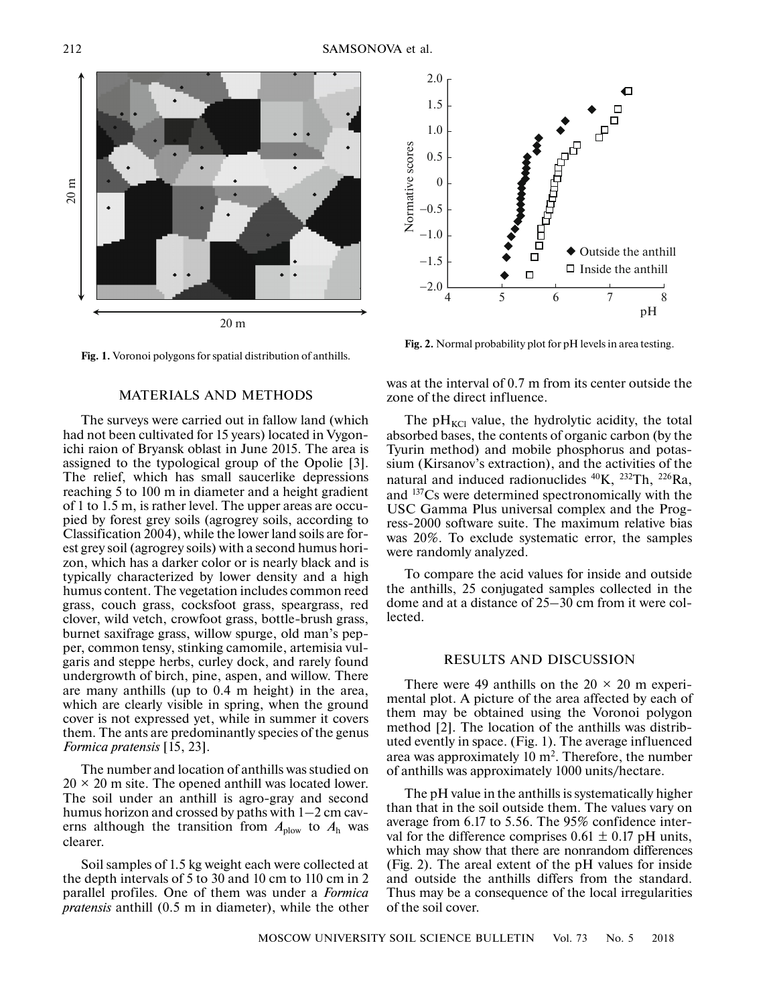



#### MATERIALS AND METHODS

The surveys were carried out in fallow land (which had not been cultivated for 15 years) located in Vygonichi raion of Bryansk oblast in June 2015. The area is assigned to the typological group of the Opolie [3]. The relief, which has small saucerlike depressions reaching 5 to 100 m in diameter and a height gradient of 1 to 1.5 m, is rather level. The upper areas are occupied by forest grey soils (agrogrey soils, according to Classification 2004), while the lower land soils are forest grey soil (agrogrey soils) with a second humus horizon, which has a darker color or is nearly black and is typically characterized by lower density and a high humus content. The vegetation includes common reed grass, couch grass, cocksfoot grass, speargrass, red clover, wild vetch, crowfoot grass, bottle-brush grass, burnet saxifrage grass, willow spurge, old man's pepper, common tensy, stinking camomile, artemisia vulgaris and steppe herbs, curley dock, and rarely found undergrowth of birch, pine, aspen, and willow. There are many anthills (up to 0.4 m height) in the area, which are clearly visible in spring, when the ground cover is not expressed yet, while in summer it covers them. The ants are predominantly species of the genus *Formica pratensis* [15, 23].

The number and location of anthills was studied on  $20 \times 20$  m site. The opened anthill was located lower. The soil under an anthill is agro-gray and second humus horizon and crossed by paths with 1–2 cm caverns although the transition from  $A_{\text{plow}}$  to  $A_{\text{h}}$  was clearer.

Soil samples of 1.5 kg weight each were collected at the depth intervals of 5 to 30 and 10 cm to 110 cm in 2 parallel profiles. One of them was under a *Formica pratensis* anthill (0.5 m in diameter), while the other



**Fig. 2.** Normal probability plot for pH levels in area testing.

was at the interval of 0.7 m from its center outside the zone of the direct influence.

The  $pH_{\text{KCl}}$  value, the hydrolytic acidity, the total absorbed bases, the contents of organic carbon (by the Tyurin method) and mobile phosphorus and potassium (Kirsanov's extraction), and the activities of the natural and induced radionuclides  $^{40}K$ ,  $^{232}Th$ ,  $^{226}Ra$ , and 137Cs were determined spectronomically with the USC Gamma Plus universal complex and the Progress-2000 software suite. The maximum relative bias was 20%. To exclude systematic error, the samples were randomly analyzed.

To compare the acid values for inside and outside the anthills, 25 conjugated samples collected in the dome and at a distance of 25–30 cm from it were collected.

#### RESULTS AND DISCUSSION

There were 49 anthills on the  $20 \times 20$  m experimental plot. A picture of the area affected by each of them may be obtained using the Voronoi polygon method [2]. The location of the anthills was distributed evently in space. (Fig. 1). The average influenced area was approximately  $10 \text{ m}^2$ . Therefore, the number of anthills was approximately 1000 units/hectare.

The pH value in the anthills is systematically higher than that in the soil outside them. The values vary on average from 6.17 to 5.56. The 95% confidence interval for the difference comprises  $0.61 \pm 0.17$  pH units, which may show that there are nonrandom differences (Fig. 2). The areal extent of the pH values for inside and outside the anthills differs from the standard. Thus may be a consequence of the local irregularities of the soil cover.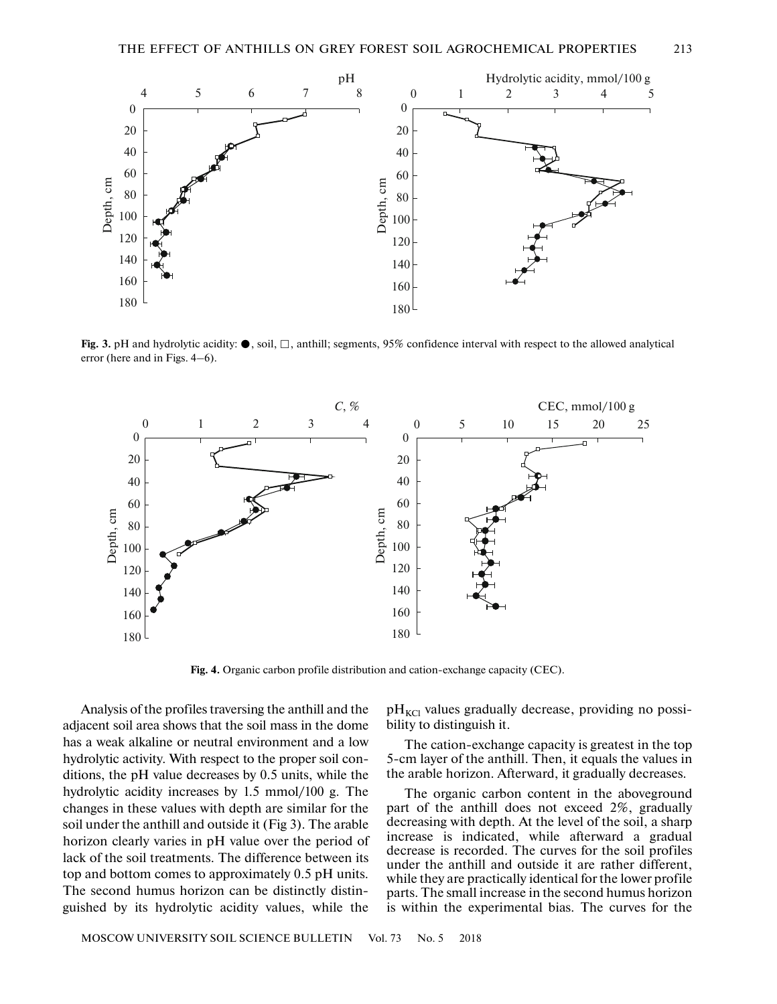

Fig. 3. pH and hydrolytic acidity:  $\bullet$ , soil,  $\Box$ , anthill; segments, 95% confidence interval with respect to the allowed analytical error (here and in Figs. 4–6).



**Fig. 4.** Organic carbon profile distribution and cation-exchange capacity (CEC).

Analysis of the profiles traversing the anthill and the adjacent soil area shows that the soil mass in the dome has a weak alkaline or neutral environment and a low hydrolytic activity. With respect to the proper soil conditions, the pH value decreases by 0.5 units, while the hydrolytic acidity increases by 1.5 mmol/100 g. The changes in these values with depth are similar for the soil under the anthill and outside it (Fig 3). The arable horizon clearly varies in pH value over the period of lack of the soil treatments. The difference between its top and bottom comes to approximately 0.5 pH units. The second humus horizon can be distinctly distinguished by its hydrolytic acidity values, while the

MOSCOW UNIVERSITY SOIL SCIENCE BULLETIN Vol. 73 No. 5 2018

 $pH_{\text{KCl}}$  values gradually decrease, providing no possibility to distinguish it.

The cation-exchange capacity is greatest in the top 5-cm layer of the anthill. Then, it equals the values in the arable horizon. Afterward, it gradually decreases.

The organic carbon content in the aboveground part of the anthill does not exceed 2%, gradually decreasing with depth. At the level of the soil, a sharp increase is indicated, while afterward a gradual decrease is recorded. The curves for the soil profiles under the anthill and outside it are rather different, while they are practically identical for the lower profile parts. The small increase in the second humus horizon is within the experimental bias. The curves for the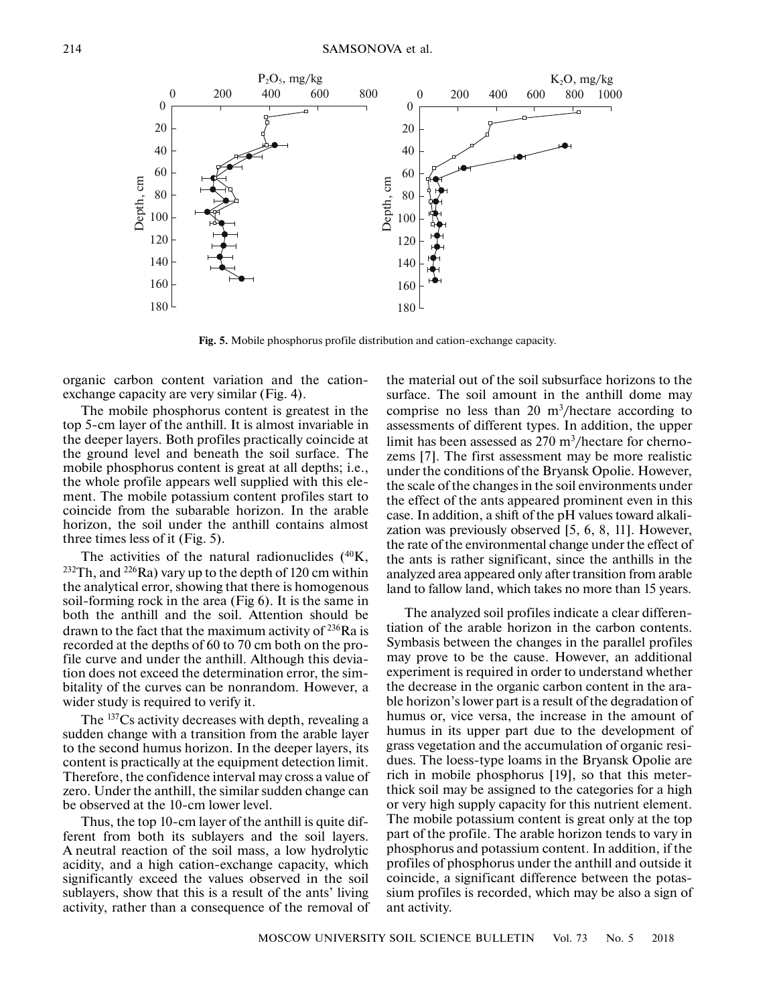

**Fig. 5.** Mobile phosphorus profile distribution and cation-exchange capacity.

organic carbon content variation and the cationexchange capacity are very similar (Fig. 4).

The mobile phosphorus content is greatest in the top 5-cm layer of the anthill. It is almost invariable in the deeper layers. Both profiles practically coincide at the ground level and beneath the soil surface. The mobile phosphorus content is great at all depths; i.e., the whole profile appears well supplied with this element. The mobile potassium content profiles start to coincide from the subarable horizon. In the arable horizon, the soil under the anthill contains almost three times less of it (Fig. 5).

The activities of the natural radionuclides  $(^{40}K,$ <sup>232</sup>Th, and <sup>226</sup>Ra) vary up to the depth of 120 cm within the analytical error, showing that there is homogenous soil-forming rock in the area (Fig 6). It is the same in both the anthill and the soil. Attention should be drawn to the fact that the maximum activity of  $^{236}$ Ra is recorded at the depths of 60 to 70 cm both on the profile curve and under the anthill. Although this deviation does not exceed the determination error, the simbitality of the curves can be nonrandom. However, a wider study is required to verify it.

The <sup>137</sup>Cs activity decreases with depth, revealing a sudden change with a transition from the arable layer to the second humus horizon. In the deeper layers, its content is practically at the equipment detection limit. Therefore, the confidence interval may cross a value of zero. Under the anthill, the similar sudden change can be observed at the 10-cm lower level.

Thus, the top 10-cm layer of the anthill is quite different from both its sublayers and the soil layers. A neutral reaction of the soil mass, a low hydrolytic acidity, and a high cation-exchange capacity, which significantly exceed the values observed in the soil sublayers, show that this is a result of the ants' living activity, rather than a consequence of the removal of the material out of the soil subsurface horizons to the surface. The soil amount in the anthill dome may comprise no less than  $20 \text{ m}^3/\text{hectar}$  according to assessments of different types. In addition, the upper limit has been assessed as 270 m<sup>3</sup>/hectare for chernozems [7]. The first assessment may be more realistic under the conditions of the Bryansk Opolie. However, the scale of the changes in the soil environments under the effect of the ants appeared prominent even in this case. In addition, a shift of the pH values toward alkalization was previously observed [5, 6, 8, 11]. However, the rate of the environmental change under the effect of the ants is rather significant, since the anthills in the analyzed area appeared only after transition from arable land to fallow land, which takes no more than 15 years.

The analyzed soil profiles indicate a clear differentiation of the arable horizon in the carbon contents. Symbasis between the changes in the parallel profiles may prove to be the cause. However, an additional experiment is required in order to understand whether the decrease in the organic carbon content in the arable horizon's lower part is a result of the degradation of humus or, vice versa, the increase in the amount of humus in its upper part due to the development of grass vegetation and the accumulation of organic residues. The loess-type loams in the Bryansk Opolie are rich in mobile phosphorus [19], so that this meterthick soil may be assigned to the categories for a high or very high supply capacity for this nutrient element. The mobile potassium content is great only at the top part of the profile. The arable horizon tends to vary in phosphorus and potassium content. In addition, if the profiles of phosphorus under the anthill and outside it coincide, a significant difference between the potassium profiles is recorded, which may be also a sign of ant activity.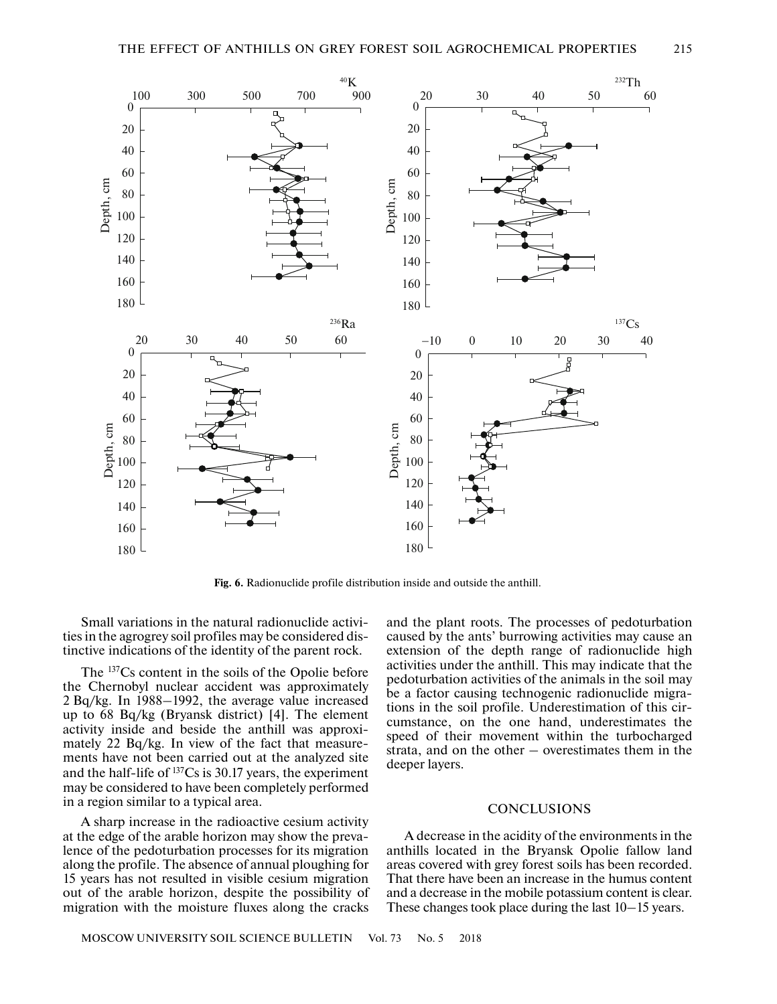

**Fig. 6.** Radionuclide profile distribution inside and outside the anthill.

Small variations in the natural radionuclide activities in the agrogrey soil profiles may be considered distinctive indications of the identity of the parent rock.

The 137Cs content in the soils of the Opolie before the Chernobyl nuclear accident was approximately 2 Bq/kg. In 1988–1992, the average value increased up to 68 Bq/kg (Bryansk district) [4]. The element activity inside and beside the anthill was approximately 22 Bq/kg. In view of the fact that measurements have not been carried out at the analyzed site and the half-life of 137Cs is 30.17 years, the experiment may be considered to have been completely performed in a region similar to a typical area.

A sharp increase in the radioactive cesium activity at the edge of the arable horizon may show the prevalence of the pedoturbation processes for its migration along the profile. The absence of annual ploughing for 15 years has not resulted in visible cesium migration out of the arable horizon, despite the possibility of migration with the moisture fluxes along the cracks and the plant roots. The processes of pedoturbation caused by the ants' burrowing activities may cause an extension of the depth range of radionuclide high activities under the anthill. This may indicate that the pedoturbation activities of the animals in the soil may be a factor causing technogenic radionuclide migrations in the soil profile. Underestimation of this circumstance, on the one hand, underestimates the speed of their movement within the turbocharged strata, and on the other – overestimates them in the deeper layers.

### **CONCLUSIONS**

A decrease in the acidity of the environments in the anthills located in the Bryansk Opolie fallow land areas covered with grey forest soils has been recorded. That there have been an increase in the humus content and a decrease in the mobile potassium content is clear. These changes took place during the last 10–15 years.